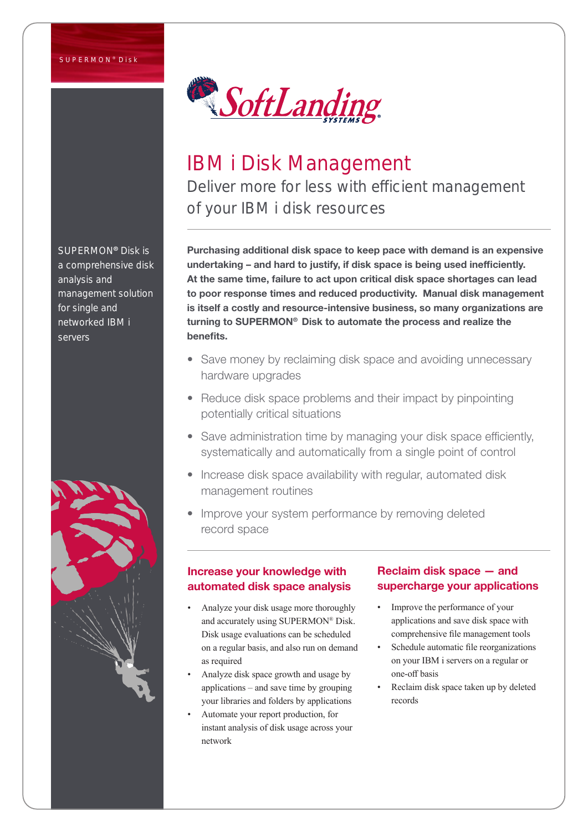#### SUPERMON<sup>®</sup> Disk



# IBM i Disk Management Deliver more for less with efficient management of your IBM i disk resources

Purchasing additional disk space to keep pace with demand is an expensive undertaking – and hard to justify, if disk space is being used inefficiently. At the same time, failure to act upon critical disk space shortages can lead to poor response times and reduced productivity. Manual disk management is itself a costly and resource-intensive business, so many organizations are turning to SUPERMON® Disk to automate the process and realize the benefits.

- Save money by reclaiming disk space and avoiding unnecessary hardware upgrades
- Reduce disk space problems and their impact by pinpointing potentially critical situations
- Save administration time by managing your disk space efficiently, systematically and automatically from a single point of control
- Increase disk space availability with regular, automated disk management routines
- Improve your system performance by removing deleted record space

## Increase your knowledge with automated disk space analysis

- Analyze your disk usage more thoroughly and accurately using SUPERMON® Disk. Disk usage evaluations can be scheduled on a regular basis, and also run on demand as required
- Analyze disk space growth and usage by applications – and save time by grouping your libraries and folders by applications
- Automate your report production, for instant analysis of disk usage across your network

## Reclaim disk space — and supercharge your applications

- Improve the performance of your applications and save disk space with comprehensive file management tools
- Schedule automatic file reorganizations on your IBM i servers on a regular or one-off basis
- Reclaim disk space taken up by deleted records

SUPERMON® Disk is a comprehensive disk analysis and management solution for single and networked IBM i servers